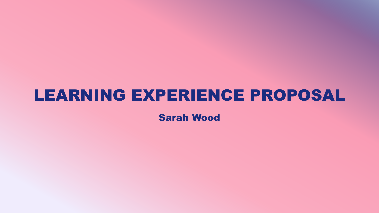#### LEARNING EXPERIENCE PROPOSAL

Sarah Wood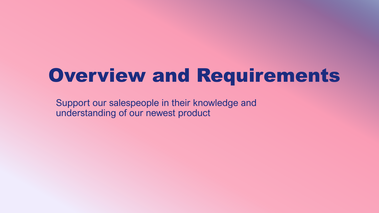#### Overview and Requirements

Support our salespeople in their knowledge and understanding of our newest product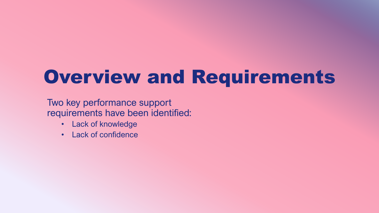## Overview and Requirements

Two key performance support requirements have been identified:

- Lack of knowledge
- Lack of confidence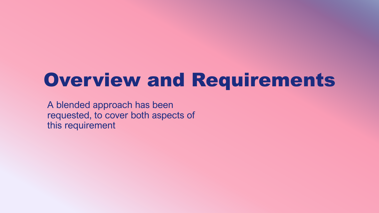#### Overview and Requirements

A blended approach has been requested, to cover both aspects of this requirement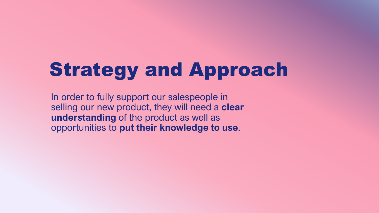## Strategy and Approach

In order to fully support our salespeople in selling our new product, they will need a **clear understanding** of the product as well as opportunities to **put their knowledge to use**.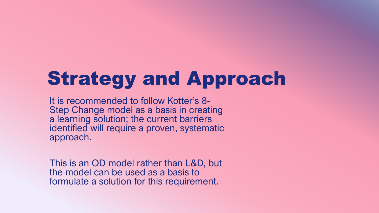## Strategy and Approach

It is recommended to follow Kotter's 8- Step Change model as a basis in creating a learning solution; the current barriers identified will require a proven, systematic approach.

This is an OD model rather than L&D, but the model can be used as a basis to formulate a solution for this requirement.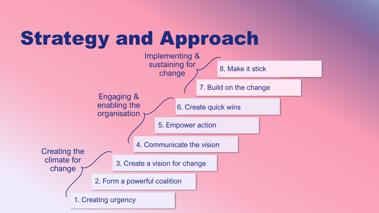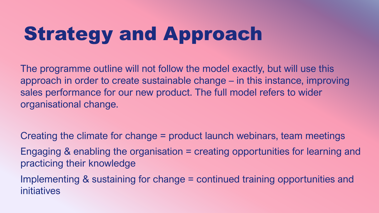# Strategy and Approach

The programme outline will not follow the model exactly, but will use this approach in order to create sustainable change – in this instance, improving sales performance for our new product. The full model refers to wider organisational change.

Creating the climate for change = product launch webinars, team meetings Engaging & enabling the organisation = creating opportunities for learning and practicing their knowledge Implementing & sustaining for change = continued training opportunities and initiatives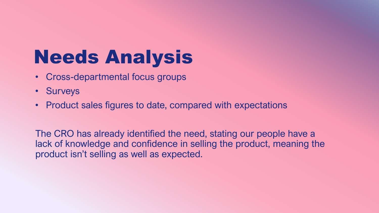## Needs Analysis

- Cross-departmental focus groups
- Surveys
- Product sales figures to date, compared with expectations

The CRO has already identified the need, stating our people have a lack of knowledge and confidence in selling the product, meaning the product isn't selling as well as expected.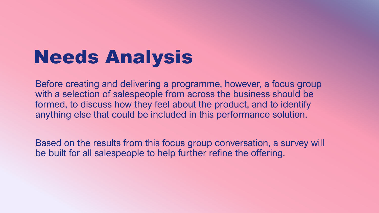### Needs Analysis

Before creating and delivering a programme, however, a focus group with a selection of salespeople from across the business should be formed, to discuss how they feel about the product, and to identify anything else that could be included in this performance solution.

Based on the results from this focus group conversation, a survey will be built for all salespeople to help further refine the offering.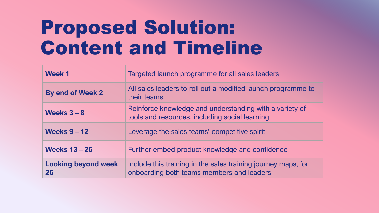## Proposed Solution: Content and Timeline

| Week 1                           | Targeted launch programme for all sales leaders                                                            |
|----------------------------------|------------------------------------------------------------------------------------------------------------|
| <b>By end of Week 2</b>          | All sales leaders to roll out a modified launch programme to<br>their teams                                |
| Weeks $3 - 8$                    | Reinforce knowledge and understanding with a variety of<br>tools and resources, including social learning  |
| <b>Weeks 9 - 12</b>              | Leverage the sales teams' competitive spirit                                                               |
| <b>Weeks 13 - 26</b>             | Further embed product knowledge and confidence                                                             |
| <b>Looking beyond week</b><br>26 | Include this training in the sales training journey maps, for<br>onboarding both teams members and leaders |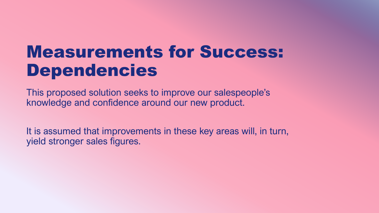#### Measurements for Success: Dependencies

This proposed solution seeks to improve our salespeople's knowledge and confidence around our new product.

It is assumed that improvements in these key areas will, in turn, yield stronger sales figures.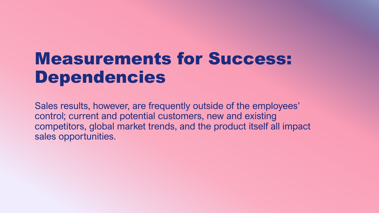#### Measurements for Success: Dependencies

Sales results, however, are frequently outside of the employees' control; current and potential customers, new and existing competitors, global market trends, and the product itself all impact sales opportunities.